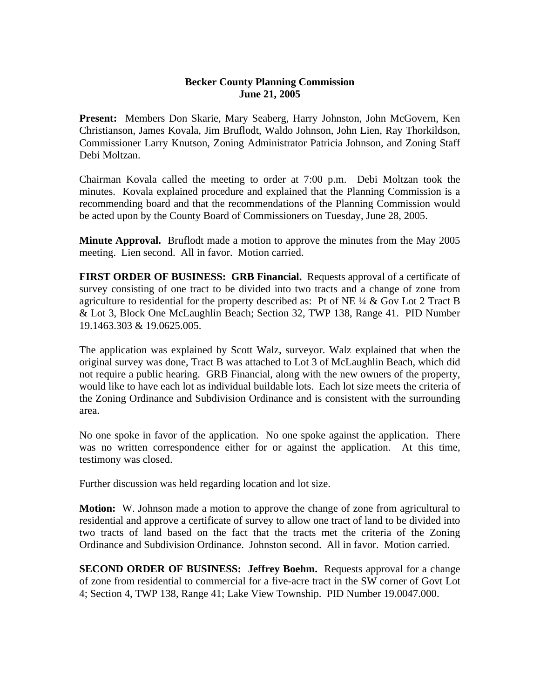## **Becker County Planning Commission June 21, 2005**

**Present:** Members Don Skarie, Mary Seaberg, Harry Johnston, John McGovern, Ken Christianson, James Kovala, Jim Bruflodt, Waldo Johnson, John Lien, Ray Thorkildson, Commissioner Larry Knutson, Zoning Administrator Patricia Johnson, and Zoning Staff Debi Moltzan.

Chairman Kovala called the meeting to order at 7:00 p.m. Debi Moltzan took the minutes. Kovala explained procedure and explained that the Planning Commission is a recommending board and that the recommendations of the Planning Commission would be acted upon by the County Board of Commissioners on Tuesday, June 28, 2005.

**Minute Approval.** Bruflodt made a motion to approve the minutes from the May 2005 meeting. Lien second. All in favor. Motion carried.

**FIRST ORDER OF BUSINESS: GRB Financial.** Requests approval of a certificate of survey consisting of one tract to be divided into two tracts and a change of zone from agriculture to residential for the property described as: Pt of NE  $\frac{1}{4}$  & Gov Lot 2 Tract B & Lot 3, Block One McLaughlin Beach; Section 32, TWP 138, Range 41. PID Number 19.1463.303 & 19.0625.005.

The application was explained by Scott Walz, surveyor. Walz explained that when the original survey was done, Tract B was attached to Lot 3 of McLaughlin Beach, which did not require a public hearing. GRB Financial, along with the new owners of the property, would like to have each lot as individual buildable lots. Each lot size meets the criteria of the Zoning Ordinance and Subdivision Ordinance and is consistent with the surrounding area.

No one spoke in favor of the application. No one spoke against the application. There was no written correspondence either for or against the application. At this time, testimony was closed.

Further discussion was held regarding location and lot size.

**Motion:** W. Johnson made a motion to approve the change of zone from agricultural to residential and approve a certificate of survey to allow one tract of land to be divided into two tracts of land based on the fact that the tracts met the criteria of the Zoning Ordinance and Subdivision Ordinance. Johnston second. All in favor. Motion carried.

**SECOND ORDER OF BUSINESS: Jeffrey Boehm.** Requests approval for a change of zone from residential to commercial for a five-acre tract in the SW corner of Govt Lot 4; Section 4, TWP 138, Range 41; Lake View Township. PID Number 19.0047.000.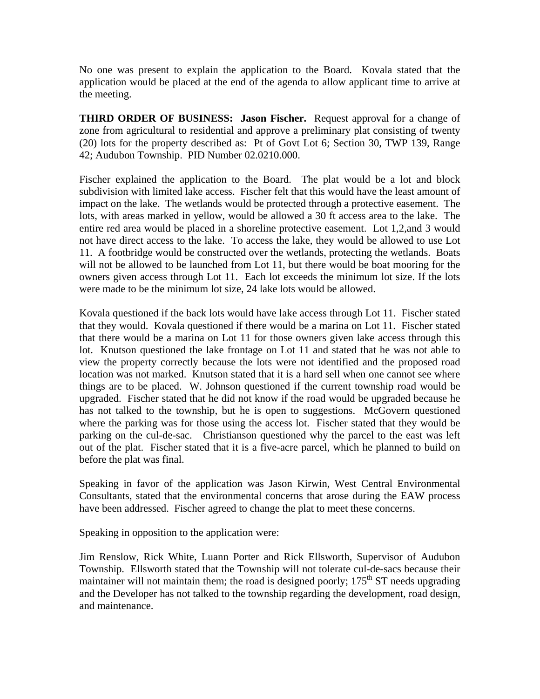No one was present to explain the application to the Board. Kovala stated that the application would be placed at the end of the agenda to allow applicant time to arrive at the meeting.

**THIRD ORDER OF BUSINESS: Jason Fischer.** Request approval for a change of zone from agricultural to residential and approve a preliminary plat consisting of twenty (20) lots for the property described as: Pt of Govt Lot 6; Section 30, TWP 139, Range 42; Audubon Township. PID Number 02.0210.000.

Fischer explained the application to the Board. The plat would be a lot and block subdivision with limited lake access. Fischer felt that this would have the least amount of impact on the lake. The wetlands would be protected through a protective easement. The lots, with areas marked in yellow, would be allowed a 30 ft access area to the lake. The entire red area would be placed in a shoreline protective easement. Lot 1,2,and 3 would not have direct access to the lake. To access the lake, they would be allowed to use Lot 11. A footbridge would be constructed over the wetlands, protecting the wetlands. Boats will not be allowed to be launched from Lot 11, but there would be boat mooring for the owners given access through Lot 11. Each lot exceeds the minimum lot size. If the lots were made to be the minimum lot size, 24 lake lots would be allowed.

Kovala questioned if the back lots would have lake access through Lot 11. Fischer stated that they would. Kovala questioned if there would be a marina on Lot 11. Fischer stated that there would be a marina on Lot 11 for those owners given lake access through this lot. Knutson questioned the lake frontage on Lot 11 and stated that he was not able to view the property correctly because the lots were not identified and the proposed road location was not marked. Knutson stated that it is a hard sell when one cannot see where things are to be placed. W. Johnson questioned if the current township road would be upgraded. Fischer stated that he did not know if the road would be upgraded because he has not talked to the township, but he is open to suggestions. McGovern questioned where the parking was for those using the access lot. Fischer stated that they would be parking on the cul-de-sac. Christianson questioned why the parcel to the east was left out of the plat. Fischer stated that it is a five-acre parcel, which he planned to build on before the plat was final.

Speaking in favor of the application was Jason Kirwin, West Central Environmental Consultants, stated that the environmental concerns that arose during the EAW process have been addressed. Fischer agreed to change the plat to meet these concerns.

Speaking in opposition to the application were:

Jim Renslow, Rick White, Luann Porter and Rick Ellsworth, Supervisor of Audubon Township. Ellsworth stated that the Township will not tolerate cul-de-sacs because their maintainer will not maintain them; the road is designed poorly;  $175<sup>th</sup>$  ST needs upgrading and the Developer has not talked to the township regarding the development, road design, and maintenance.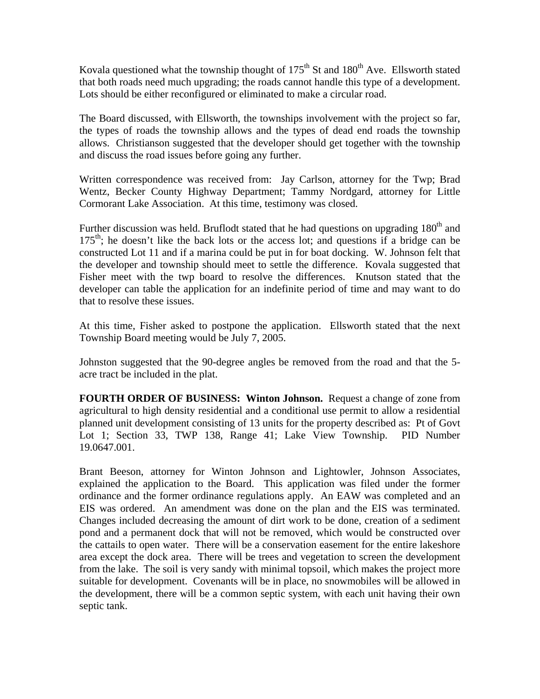Kovala questioned what the township thought of  $175<sup>th</sup>$  St and  $180<sup>th</sup>$  Ave. Ellsworth stated that both roads need much upgrading; the roads cannot handle this type of a development. Lots should be either reconfigured or eliminated to make a circular road.

The Board discussed, with Ellsworth, the townships involvement with the project so far, the types of roads the township allows and the types of dead end roads the township allows. Christianson suggested that the developer should get together with the township and discuss the road issues before going any further.

Written correspondence was received from: Jay Carlson, attorney for the Twp; Brad Wentz, Becker County Highway Department; Tammy Nordgard, attorney for Little Cormorant Lake Association. At this time, testimony was closed.

Further discussion was held. Bruflodt stated that he had questions on upgrading  $180<sup>th</sup>$  and  $175<sup>th</sup>$ ; he doesn't like the back lots or the access lot; and questions if a bridge can be constructed Lot 11 and if a marina could be put in for boat docking. W. Johnson felt that the developer and township should meet to settle the difference. Kovala suggested that Fisher meet with the twp board to resolve the differences. Knutson stated that the developer can table the application for an indefinite period of time and may want to do that to resolve these issues.

At this time, Fisher asked to postpone the application. Ellsworth stated that the next Township Board meeting would be July 7, 2005.

Johnston suggested that the 90-degree angles be removed from the road and that the 5 acre tract be included in the plat.

**FOURTH ORDER OF BUSINESS: Winton Johnson.** Request a change of zone from agricultural to high density residential and a conditional use permit to allow a residential planned unit development consisting of 13 units for the property described as: Pt of Govt Lot 1; Section 33, TWP 138, Range 41; Lake View Township. PID Number 19.0647.001.

Brant Beeson, attorney for Winton Johnson and Lightowler, Johnson Associates, explained the application to the Board. This application was filed under the former ordinance and the former ordinance regulations apply. An EAW was completed and an EIS was ordered. An amendment was done on the plan and the EIS was terminated. Changes included decreasing the amount of dirt work to be done, creation of a sediment pond and a permanent dock that will not be removed, which would be constructed over the cattails to open water. There will be a conservation easement for the entire lakeshore area except the dock area. There will be trees and vegetation to screen the development from the lake. The soil is very sandy with minimal topsoil, which makes the project more suitable for development. Covenants will be in place, no snowmobiles will be allowed in the development, there will be a common septic system, with each unit having their own septic tank.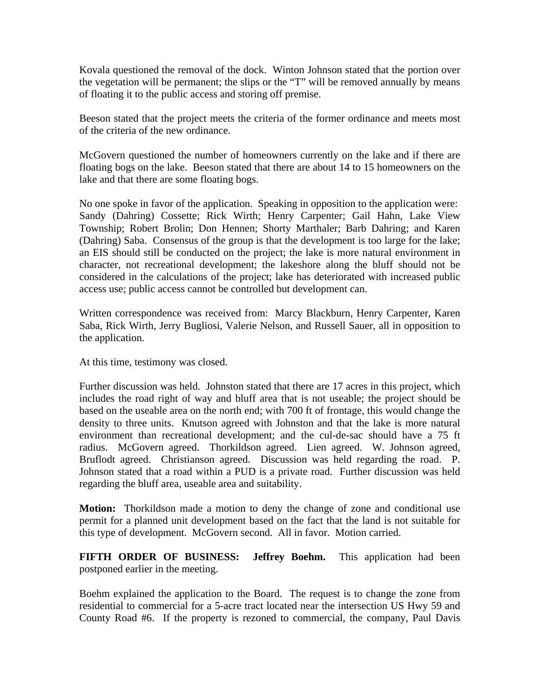Kovala questioned the removal of the dock. Winton Johnson stated that the portion over the vegetation will be permanent; the slips or the "T" will be removed annually by means of floating it to the public access and storing off premise.

Beeson stated that the project meets the criteria of the former ordinance and meets most of the criteria of the new ordinance.

McGovern questioned the number of homeowners currently on the lake and if there are floating bogs on the lake. Beeson stated that there are about 14 to 15 homeowners on the lake and that there are some floating bogs.

No one spoke in favor of the application. Speaking in opposition to the application were: Sandy (Dahring) Cossette; Rick Wirth; Henry Carpenter; Gail Hahn, Lake View Township; Robert Brolin; Don Hennen; Shorty Marthaler; Barb Dahring; and Karen (Dahring) Saba. Consensus of the group is that the development is too large for the lake; an EIS should still be conducted on the project; the lake is more natural environment in character, not recreational development; the lakeshore along the bluff should not be considered in the calculations of the project; lake has deteriorated with increased public access use; public access cannot be controlled but development can.

Written correspondence was received from: Marcy Blackburn, Henry Carpenter, Karen Saba, Rick Wirth, Jerry Bugliosi, Valerie Nelson, and Russell Sauer, all in opposition to the application.

At this time, testimony was closed.

Further discussion was held. Johnston stated that there are 17 acres in this project, which includes the road right of way and bluff area that is not useable; the project should be based on the useable area on the north end; with 700 ft of frontage, this would change the density to three units. Knutson agreed with Johnston and that the lake is more natural environment than recreational development; and the cul-de-sac should have a 75 ft radius. McGovern agreed. Thorkildson agreed. Lien agreed. W. Johnson agreed, Bruflodt agreed. Christianson agreed. Discussion was held regarding the road. P. Johnson stated that a road within a PUD is a private road. Further discussion was held regarding the bluff area, useable area and suitability.

**Motion:** Thorkildson made a motion to deny the change of zone and conditional use permit for a planned unit development based on the fact that the land is not suitable for this type of development. McGovern second. All in favor. Motion carried.

**FIFTH ORDER OF BUSINESS: Jeffrey Boehm.** This application had been postponed earlier in the meeting.

Boehm explained the application to the Board. The request is to change the zone from residential to commercial for a 5-acre tract located near the intersection US Hwy 59 and County Road #6. If the property is rezoned to commercial, the company, Paul Davis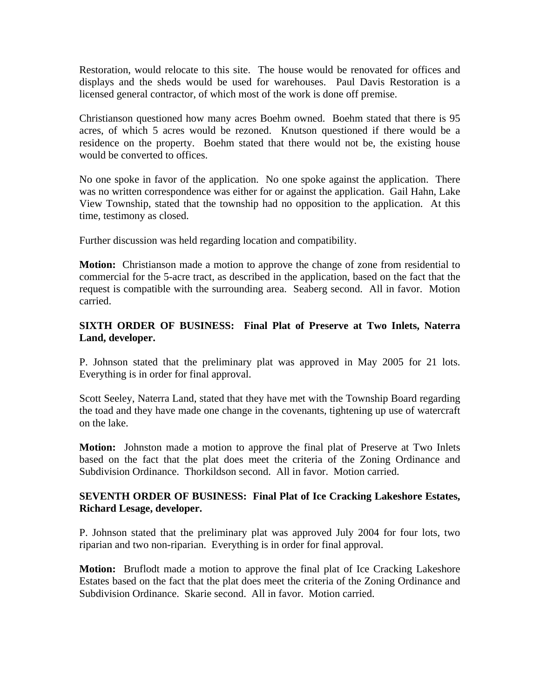Restoration, would relocate to this site. The house would be renovated for offices and displays and the sheds would be used for warehouses. Paul Davis Restoration is a licensed general contractor, of which most of the work is done off premise.

Christianson questioned how many acres Boehm owned. Boehm stated that there is 95 acres, of which 5 acres would be rezoned. Knutson questioned if there would be a residence on the property. Boehm stated that there would not be, the existing house would be converted to offices.

No one spoke in favor of the application. No one spoke against the application. There was no written correspondence was either for or against the application. Gail Hahn, Lake View Township, stated that the township had no opposition to the application. At this time, testimony as closed.

Further discussion was held regarding location and compatibility.

**Motion:** Christianson made a motion to approve the change of zone from residential to commercial for the 5-acre tract, as described in the application, based on the fact that the request is compatible with the surrounding area. Seaberg second. All in favor. Motion carried.

## **SIXTH ORDER OF BUSINESS: Final Plat of Preserve at Two Inlets, Naterra Land, developer.**

P. Johnson stated that the preliminary plat was approved in May 2005 for 21 lots. Everything is in order for final approval.

Scott Seeley, Naterra Land, stated that they have met with the Township Board regarding the toad and they have made one change in the covenants, tightening up use of watercraft on the lake.

**Motion:** Johnston made a motion to approve the final plat of Preserve at Two Inlets based on the fact that the plat does meet the criteria of the Zoning Ordinance and Subdivision Ordinance. Thorkildson second. All in favor. Motion carried.

## **SEVENTH ORDER OF BUSINESS: Final Plat of Ice Cracking Lakeshore Estates, Richard Lesage, developer.**

P. Johnson stated that the preliminary plat was approved July 2004 for four lots, two riparian and two non-riparian. Everything is in order for final approval.

**Motion:** Bruflodt made a motion to approve the final plat of Ice Cracking Lakeshore Estates based on the fact that the plat does meet the criteria of the Zoning Ordinance and Subdivision Ordinance. Skarie second. All in favor. Motion carried.